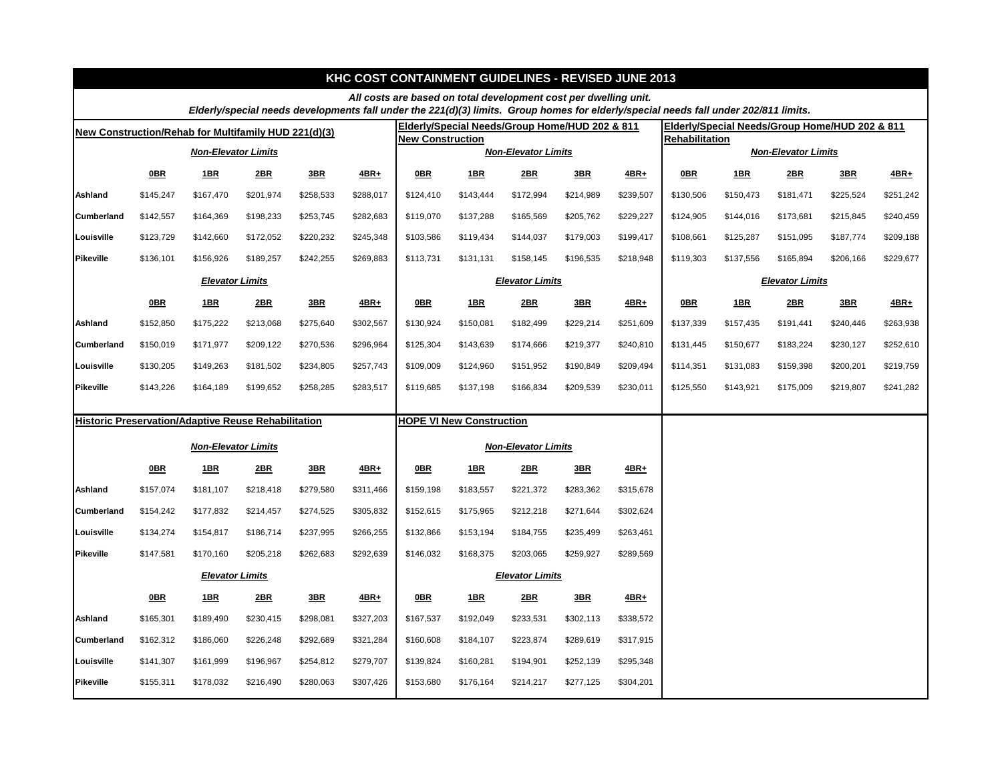|                                                      |                                                            |                            |           |            |           |                         | <b>KHC COST CONTAINMENT GUIDELINES - REVISED JUNE 2013</b>       |                            |                 |           |                                                                                                                                      |           |           |                                                |           |  |
|------------------------------------------------------|------------------------------------------------------------|----------------------------|-----------|------------|-----------|-------------------------|------------------------------------------------------------------|----------------------------|-----------------|-----------|--------------------------------------------------------------------------------------------------------------------------------------|-----------|-----------|------------------------------------------------|-----------|--|
|                                                      |                                                            |                            |           |            |           |                         | All costs are based on total development cost per dwelling unit. |                            |                 |           | Elderly/special needs developments fall under the 221(d)(3) limits. Group homes for elderly/special needs fall under 202/811 limits. |           |           |                                                |           |  |
| New Construction/Rehab for Multifamily HUD 221(d)(3) |                                                            |                            |           |            |           |                         | Elderly/Special Needs/Group Home/HUD 202 & 811                   |                            |                 |           |                                                                                                                                      |           |           | Elderly/Special Needs/Group Home/HUD 202 & 811 |           |  |
|                                                      |                                                            |                            |           |            |           | <b>New Construction</b> |                                                                  |                            |                 |           | <b>Rehabilitation</b>                                                                                                                |           |           |                                                |           |  |
|                                                      |                                                            | <b>Non-Elevator Limits</b> |           |            |           |                         |                                                                  | <b>Non-Elevator Limits</b> |                 |           | <b>Non-Elevator Limits</b>                                                                                                           |           |           |                                                |           |  |
|                                                      | $0$ BR                                                     | 1BR                        | 2BR       | 3BR        | 4BR+      | <b>OBR</b>              | <u>1BR</u>                                                       | 2BR                        | 3BR             | 4BR+      | <b>OBR</b>                                                                                                                           | 1BR       | 2BR       | 3BR                                            | $4BR+$    |  |
| <b>Ashland</b>                                       | \$145,247                                                  | \$167,470                  | \$201,974 | \$258,533  | \$288,017 | \$124,410               | \$143,444                                                        | \$172,994                  | \$214,989       | \$239,507 | \$130,506                                                                                                                            | \$150,473 | \$181,471 | \$225,524                                      | \$251,242 |  |
| <b>Cumberland</b>                                    | \$142,557                                                  | \$164,369                  | \$198,233 | \$253,745  | \$282,683 | \$119,070               | \$137,288                                                        | \$165,569                  | \$205,762       | \$229,227 | \$124,905                                                                                                                            | \$144,016 | \$173,681 | \$215,845                                      | \$240,459 |  |
| Louisville                                           | \$123,729                                                  | \$142,660                  | \$172,052 | \$220,232  | \$245,348 | \$103,586               | \$119,434                                                        | \$144,037                  | \$179,003       | \$199,417 | \$108,661                                                                                                                            | \$125,287 | \$151,095 | \$187,774                                      | \$209,188 |  |
| <b>Pikeville</b>                                     | \$136,101                                                  | \$156,926                  | \$189,257 | \$242,255  | \$269,883 | \$113,731               | \$131,131                                                        | \$158,145                  | \$196,535       | \$218,948 | \$119,303                                                                                                                            | \$137,556 | \$165,894 | \$206,166                                      | \$229,677 |  |
|                                                      | <b>Elevator Limits</b>                                     |                            |           |            |           |                         |                                                                  | <b>Elevator Limits</b>     |                 |           | <b>Elevator Limits</b>                                                                                                               |           |           |                                                |           |  |
|                                                      | $0$ BR                                                     | <b>1BR</b>                 | 2BR       | 3BR        | $4BR+$    | <b>OBR</b>              | <u>1BR</u>                                                       | 2BR                        | 3B <sub>R</sub> | 4BR+      | <b>OBR</b>                                                                                                                           | 1BR       | 2BR       | 3BR                                            | $4BR+$    |  |
| <b>Ashland</b>                                       | \$152,850                                                  | \$175,222                  | \$213,068 | \$275,640  | \$302,567 | \$130,924               | \$150,081                                                        | \$182,499                  | \$229,214       | \$251,609 | \$137,339                                                                                                                            | \$157,435 | \$191,441 | \$240,446                                      | \$263,938 |  |
| <b>Cumberland</b>                                    | \$150,019                                                  | \$171,977                  | \$209,122 | \$270,536  | \$296,964 | \$125,304               | \$143,639                                                        | \$174,666                  | \$219,377       | \$240,810 | \$131,445                                                                                                                            | \$150,677 | \$183,224 | \$230,127                                      | \$252,610 |  |
| Louisville                                           | \$130,205                                                  | \$149,263                  | \$181,502 | \$234,805  | \$257,743 | \$109,009               | \$124,960                                                        | \$151,952                  | \$190,849       | \$209,494 | \$114,351                                                                                                                            | \$131,083 | \$159,398 | \$200,201                                      | \$219,759 |  |
| <b>Pikeville</b>                                     | \$143,226                                                  | \$164,189                  | \$199,652 | \$258,285  | \$283,517 | \$119,685               | \$137,198                                                        | \$166,834                  | \$209,539       | \$230,011 | \$125,550                                                                                                                            | \$143,921 | \$175,009 | \$219,807                                      | \$241,282 |  |
|                                                      |                                                            |                            |           |            |           |                         | <b>HOPE VI New Construction</b>                                  |                            |                 |           |                                                                                                                                      |           |           |                                                |           |  |
|                                                      | <b>Historic Preservation/Adaptive Reuse Rehabilitation</b> |                            |           |            |           |                         |                                                                  |                            |                 |           |                                                                                                                                      |           |           |                                                |           |  |
|                                                      |                                                            | <b>Non-Elevator Limits</b> |           |            |           |                         | <b>Non-Elevator Limits</b>                                       |                            |                 |           |                                                                                                                                      |           |           |                                                |           |  |
|                                                      | 0B                                                         | <u>1BR</u>                 | 2BR       | <b>3BR</b> | $4BR+$    | 0B                      | <u>1BR</u>                                                       | 2BR                        | 3BR             | $4BR+$    |                                                                                                                                      |           |           |                                                |           |  |
| <b>Ashland</b>                                       | \$157,074                                                  | \$181,107                  | \$218,418 | \$279,580  | \$311,466 | \$159,198               | \$183,557                                                        | \$221,372                  | \$283,362       | \$315,678 |                                                                                                                                      |           |           |                                                |           |  |
| <b>Cumberland</b>                                    | \$154,242                                                  | \$177,832                  | \$214,457 | \$274,525  | \$305,832 | \$152,615               | \$175,965                                                        | \$212,218                  | \$271,644       | \$302,624 |                                                                                                                                      |           |           |                                                |           |  |
| Louisville                                           | \$134,274                                                  | \$154,817                  | \$186,714 | \$237,995  | \$266,255 | \$132,866               | \$153,194                                                        | \$184,755                  | \$235,499       | \$263,461 |                                                                                                                                      |           |           |                                                |           |  |
| Pikeville                                            | \$147,581                                                  | \$170,160                  | \$205,218 | \$262,683  | \$292,639 | \$146,032               | \$168,375                                                        | \$203,065                  | \$259,927       | \$289,569 |                                                                                                                                      |           |           |                                                |           |  |
|                                                      | <b>Elevator Limits</b>                                     |                            |           |            |           |                         |                                                                  | <b>Elevator Limits</b>     |                 |           |                                                                                                                                      |           |           |                                                |           |  |
|                                                      | 0B                                                         | 1B <sub>R</sub>            | 2BR       | 3BR        | $4BR+$    | 0B                      | <u>1BR</u>                                                       | 2BR                        | 3B <sub>R</sub> | $4BR+$    |                                                                                                                                      |           |           |                                                |           |  |
| Ashland                                              | \$165,301                                                  | \$189,490                  | \$230,415 | \$298,081  | \$327,203 | \$167,537               | \$192,049                                                        | \$233,531                  | \$302,113       | \$338,572 |                                                                                                                                      |           |           |                                                |           |  |
| <b>Cumberland</b>                                    | \$162,312                                                  | \$186,060                  | \$226,248 | \$292,689  | \$321,284 | \$160,608               | \$184,107                                                        | \$223,874                  | \$289,619       | \$317,915 |                                                                                                                                      |           |           |                                                |           |  |
| Louisville                                           | \$141,307                                                  | \$161,999                  | \$196,967 | \$254,812  | \$279,707 | \$139,824               | \$160,281                                                        | \$194,901                  | \$252,139       | \$295,348 |                                                                                                                                      |           |           |                                                |           |  |
| <b>Pikeville</b>                                     | \$155,311                                                  | \$178,032                  | \$216,490 | \$280,063  | \$307,426 | \$153,680               | \$176,164                                                        | \$214,217                  | \$277,125       | \$304,201 |                                                                                                                                      |           |           |                                                |           |  |
|                                                      |                                                            |                            |           |            |           |                         |                                                                  |                            |                 |           |                                                                                                                                      |           |           |                                                |           |  |